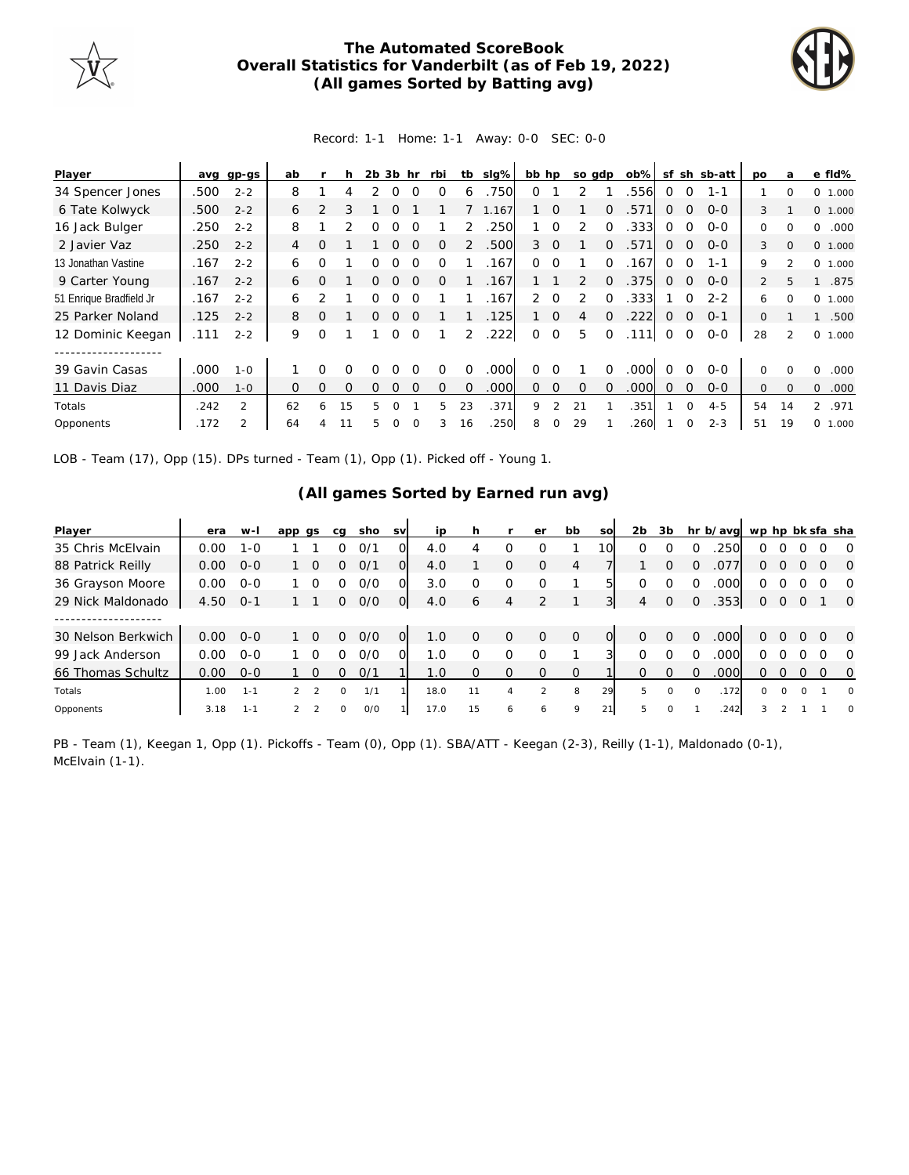

## **The Automated ScoreBook Overall Statistics for Vanderbilt (as of Feb 19, 2022) (All games Sorted by Batting avg)**



## Record: 1-1 Home: 1-1 Away: 0-0 SEC: 0-0

| Player                  |      | avg gp-gs      | ab |          | h        | 2 <sub>b</sub> | 3b hr    |          | rbi      | tb       | slg%  | bb hp          |                | so gdp   |             | $ob\%$ |          |             | sf sh sb-att | <b>DO</b>      | a              | e fld%                |
|-------------------------|------|----------------|----|----------|----------|----------------|----------|----------|----------|----------|-------|----------------|----------------|----------|-------------|--------|----------|-------------|--------------|----------------|----------------|-----------------------|
| 34 Spencer Jones        | .500 | $2 - 2$        | 8  |          | 4        |                | 0        | ∩        | ∩        | 6        | .750  | 0              |                |          |             | 556    | $\Omega$ | $\Omega$    | $1 - 1$      |                | $\Omega$       | 0 1.000               |
| 6 Tate Kolwyck          | .500 | $2 - 2$        | 6  | 2        |          |                | ∩        |          |          |          | 1.167 |                | $\Omega$       |          | $\Omega$    | .571   | 0        | $\mathbf 0$ | $0 - 0$      | 3              |                | 0 1.000               |
| 16 Jack Bulger          | .250 | $2 - 2$        | 8  |          |          | Ω              | ∩        |          |          |          | 250   |                | $\Omega$       | 2        | $\Omega$    | .333   | $\Omega$ | $\Omega$    | $O - O$      | 0              | $\Omega$       | .000<br>0             |
| 2 Javier Vaz            | .250 | $2 - 2$        | 4  | $\Omega$ |          |                | $\Omega$ | $\Omega$ | $\Omega$ |          | .500  | 3              | $\Omega$       |          | $\Omega$    | .571   | $\Omega$ | $\Omega$    | $0 - 0$      | 3              | $\Omega$       | 0 1.000               |
| 13 Jonathan Vastine     | .167 | $2 - 2$        | 6  | O        |          | Ω              | ∩        | $\Omega$ | O        |          | 167   | $\Omega$       | $\Omega$       |          | $\Omega$    | 167    | $\Omega$ | $\Omega$    | $1 - 1$      | 9              | $\mathfrak{D}$ | 0 1.000               |
| 9 Carter Young          | .167 | $2 - 2$        | 6  | $\Omega$ |          | 0              | $\Omega$ | $\Omega$ | $\Omega$ |          | .167  |                |                | 2        | $\Omega$    | .375   | $\Omega$ | $\mathbf 0$ | $0 - 0$      | $\overline{2}$ | 5              | .875                  |
| 51 Enrique Bradfield Jr | .167 | $2 - 2$        | 6  |          |          | Ω              | ∩        | $\Omega$ |          |          | 167   | $\overline{2}$ | $\Omega$       | 2        | $\Omega$    | .333   |          | 0           | $2 - 2$      | 6              | $\Omega$       | 0 1.000               |
| 25 Parker Noland        | .125 | $2 - 2$        | 8  | $\Omega$ |          | 0              | $\Omega$ | $\Omega$ |          |          | .125  |                | $\overline{0}$ | 4        | $\Omega$    | .222   | $\Omega$ | $\Omega$    | $O - 1$      | $\Omega$       |                | .500                  |
| 12 Dominic Keegan       | .111 | $2 - 2$        | 9  | O        |          |                | $\Omega$ | $\Omega$ |          | 2        | .222  | $\circ$        | $\overline{O}$ | 5        | $\mathbf 0$ | .111   | 0        | $\mathbf 0$ | $0 - 0$      | 28             | $\mathfrak{D}$ | 0<br>1.000            |
|                         |      |                |    |          |          |                |          |          |          |          |       |                |                |          |             |        |          |             |              |                |                |                       |
| 39 Gavin Casas          | .000 | $1 - 0$        |    | O        | O        |                |          |          | Ω        | $\Omega$ | .000  | 0              |                |          | $\Omega$    | .000   | $\Omega$ | $\Omega$    | $O - O$      | $\Omega$       | $\Omega$       | .000<br>$\Omega$      |
| 11 Davis Diaz           | .000 | $1 - 0$        | 0  | $\Omega$ | $\Omega$ | O              | $\Omega$ | $\Omega$ | Ω        | $\Omega$ | .000  | 0              | $\mathbf 0$    | $\Omega$ | $\Omega$    | .000   | $\Omega$ | $\Omega$    | $0 - 0$      | 0              | $\Omega$       | 0<br>.000             |
| Totals                  | .242 | 2              | 62 | 6        | 15       | 5              | $\Omega$ |          | 5        | 23       | .371  | 9              | 2              | 21       |             | .351   |          | $\mathbf 0$ | $4 - 5$      | 54             | 14             | $\mathcal{L}$<br>.971 |
| Opponents               | .172 | $\mathfrak{D}$ | 64 |          |          | 5              |          |          | 3        | 16       | 250   | 8              |                | 29       |             | 260    |          | $\mathbf 0$ | $2 - 3$      | 51             | 19             | 0 1.000               |

LOB - Team (17), Opp (15). DPs turned - Team (1), Opp (1). Picked off - Young 1.

## **(All games Sorted by Earned run avg)**

| Player             | era  | w-l     | app gs        |                | ca       | sho | <b>SV</b>      | ip   |          |          | er       | bb          | <sub>SO</sub>   | 2 <sub>b</sub> | 3b       |          | hr b/avg wp hp bk sfa sha |          |          |          |          |                |
|--------------------|------|---------|---------------|----------------|----------|-----|----------------|------|----------|----------|----------|-------------|-----------------|----------------|----------|----------|---------------------------|----------|----------|----------|----------|----------------|
| 35 Chris McElvain  | 0.00 | $1 - 0$ |               |                | O        | 0/1 | 0              | 4.0  |          | O        | Ω        |             | 10 <sub>1</sub> |                |          |          | 250                       | Ω        |          |          |          | $\Omega$       |
| 88 Patrick Reilly  | 0.00 | $O - O$ |               | $\Omega$       | Ω        | 0/1 | $\Omega$       | 4.0  |          | $\Omega$ | $\Omega$ | 4           |                 |                | 0        | 0        | .077                      | 0        | O        | $\Omega$ | $\Omega$ | $\circ$        |
| 36 Grayson Moore   | 0.00 | $O - O$ |               |                |          | O/O |                | 3.0  |          | $\Omega$ | Ω        |             |                 |                |          |          | .000                      | O        |          |          |          | $\Omega$       |
| 29 Nick Maldonado  | 4.50 | $O-1$   |               |                | 0        | O/O | $\overline{O}$ | 4.0  | 6        | 4        |          |             |                 | 4              | $\Omega$ | $\Omega$ | .353                      | 0        | 0        | $\Omega$ |          | $\Omega$       |
|                    |      |         |               |                |          |     |                |      |          |          |          |             |                 |                |          |          |                           |          |          |          |          |                |
| 30 Nelson Berkwich | 0.00 | $O - O$ |               | $\Omega$       | 0        | O/O | $\Omega$       | 1.0  | $\Omega$ | $\Omega$ | $\Omega$ | $\Omega$    |                 | $\Omega$       | 0        | $\Omega$ | .000                      | 0        | Ω        | $\Omega$ | $\Omega$ | $\circ$ 0      |
| 99 Jack Anderson   | 0.00 | $O-O$   |               | ∩              | O        | 0/0 |                | 1.0  |          | $\Omega$ | Ω        |             |                 |                |          |          | .000                      | 0        | Ω        |          | $\Omega$ | $\overline{O}$ |
| 66 Thomas Schultz  | 0.00 | $O - O$ |               | $\Omega$       | O        | O/1 |                | 1.0  | O        | 0        | $\Omega$ | $\Omega$    |                 |                | ∩        | ∩        | .000                      | 0        | 0        | $\Omega$ | $\Omega$ | $\overline{0}$ |
| Totals             | 1.00 | $1 - 1$ |               | $\overline{2}$ | $\Omega$ | 1/1 |                | 18.0 | 11       | 4        | 2        | 8           | 29              | 5              | $\circ$  | $\Omega$ | .172                      | $\Omega$ | $\Omega$ | $\Omega$ |          | $\circ$        |
| Opponents          | 3.18 | $1 - 1$ | $\mathcal{L}$ | $\mathcal{D}$  | $\Omega$ | O/O |                | 17.0 | 15       | 6        | 6        | $\mathsf Q$ | 21              | 5              | $\Omega$ |          | .242                      | 3        |          |          |          | $\Omega$       |

PB - Team (1), Keegan 1, Opp (1). Pickoffs - Team (0), Opp (1). SBA/ATT - Keegan (2-3), Reilly (1-1), Maldonado (0-1), McElvain (1-1).